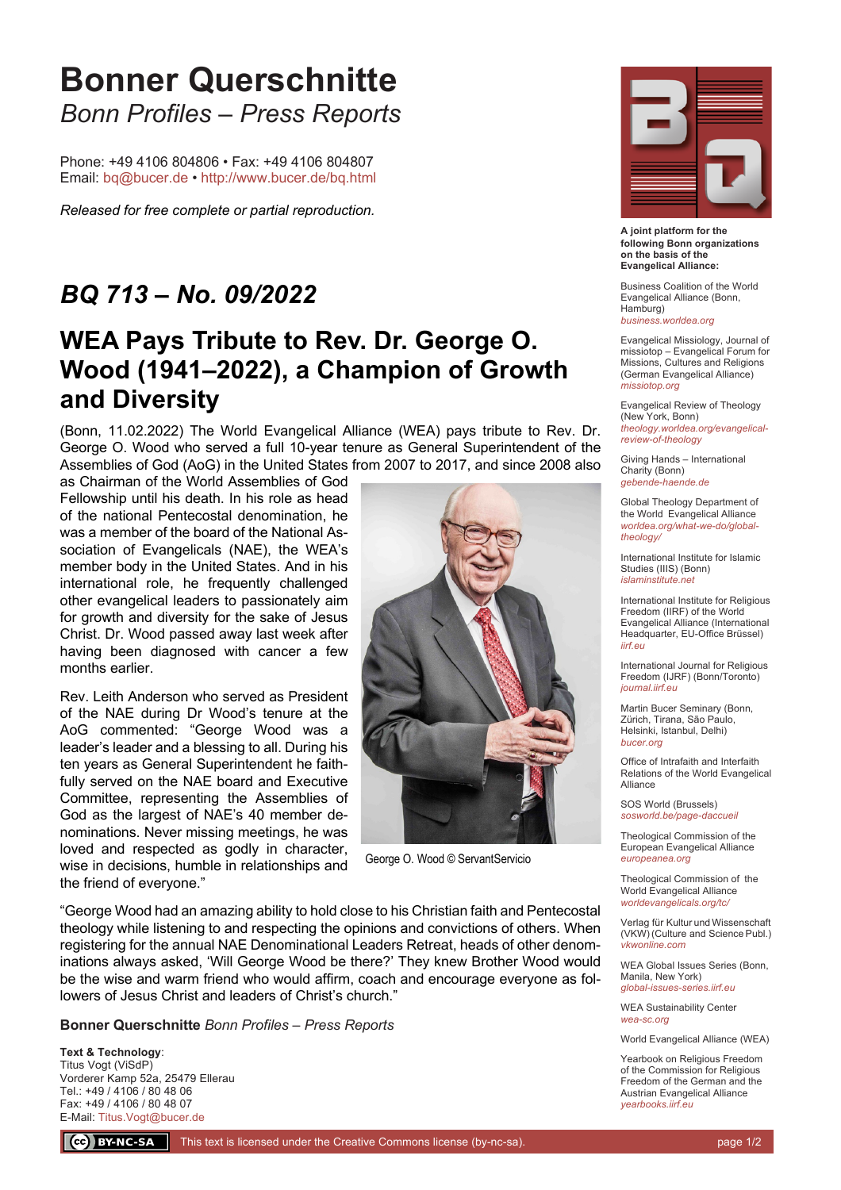## **Bonner Querschnitte** *Bonn Profiles – Press Reports*

Phone: +49 4106 804806 • Fax: +49 4106 804807 Email: bq@bucer.de • http://www.bucer.de/bq.html

*Released for free complete or partial reproduction.*

#### *BQ 713 – No. 09/2022*

### **WEA Pays Tribute to Rev. Dr. George O. Wood (1941–2022), a Champion of Growth and Diversity**

(Bonn, 11.02.2022) The World Evangelical Alliance (WEA) pays tribute to Rev. Dr. George O. Wood who served a full 10-year tenure as General Superintendent of the Assemblies of God (AoG) in the United States from 2007 to 2017, and since 2008 also

as Chairman of the World Assemblies of God Fellowship until his death. In his role as head of the national Pentecostal denomination, he was a member of the board of the National Association of Evangelicals (NAE), the WEA's member body in the United States. And in his international role, he frequently challenged other evangelical leaders to passionately aim for growth and diversity for the sake of Jesus Christ. Dr. Wood passed away last week after having been diagnosed with cancer a few months earlier.

Rev. Leith Anderson who served as President of the NAE during Dr Wood's tenure at the AoG commented: "George Wood was a leader's leader and a blessing to all. During his ten years as General Superintendent he faithfully served on the NAE board and Executive Committee, representing the Assemblies of God as the largest of NAE's 40 member denominations. Never missing meetings, he was loved and respected as godly in character, wise in decisions, humble in relationships and the friend of everyone."



George O. Wood © ServantServicio

"George Wood had an amazing ability to hold close to his Christian faith and Pentecostal theology while listening to and respecting the opinions and convictions of others. When registering for the annual NAE Denominational Leaders Retreat, heads of other denominations always asked, 'Will George Wood be there?' They knew Brother Wood would be the wise and warm friend who would affirm, coach and encourage everyone as followers of Jesus Christ and leaders of Christ's church."

**Bonner Querschnitte** *Bonn Profiles – Press Reports*

**Text & Technology**: Titus Vogt (ViSdP) Vorderer Kamp 52a, 25479 Ellerau Tel.: +49 / 4106 / 80 48 06 Fax: +49 / 4106 / 80 48 07 E-Mail: Titus.Vogt@bucer.de



**A joint platform for the following Bonn organizations on the basis of the Evangelical Alliance:**

Business Coalition of the World Evangelical Alliance (Bonn, Hamburg) *business.worldea.org*

Evangelical Missiology, Journal of missiotop – Evangelical Forum for Missions, Cultures and Religions (German Evangelical Alliance) *missiotop.org*

Evangelical Review of Theology (New York, Bonn) *theology.worldea.org/evangelicalreview-of-theology*

Giving Hands – International Charity (Bonn) *gebende-haende.de*

Global Theology Department of the World Evangelical Alliance *worldea.org/what-we-do/globaltheology/*

International Institute for Islamic Studies (IIIS) (Bonn) *islaminstitute.net*

International Institute for Religious Freedom (IIRF) of the World Evangelical Alliance (International Headquarter, EU-Office Brüssel) *iirf.eu*

International Journal for Religious Freedom (IJRF) (Bonn/Toronto) *journal.iirf.eu*

Martin Bucer Seminary (Bonn, Zürich, Tirana, São Paulo, Helsinki, Istanbul, Delhi) *bucer.org*

Office of Intrafaith and Interfaith Relations of the World Evangelical Alliance

SOS World (Brussels) *sosworld.be/page-daccueil*

Theological Commission of the European Evangelical Alliance *europeanea.org*

Theological Commission of the World Evangelical Alliance *worldevangelicals.org/tc/*

Verlag für Kultur und Wissenschaft (VKW) (Culture and Science Publ.) *vkwonline.com*

WEA Global Issues Series (Bonn, Manila, New York) *global-issues-series.iirf.eu*

WEA Sustainability Center *wea-sc.org*

World Evangelical Alliance (WEA)

Yearbook on Religious Freedom of the Commission for Religious Freedom of the German and the Austrian Evangelical Alliance *yearbooks.iirf.eu*

(cc) BY-NC-SA